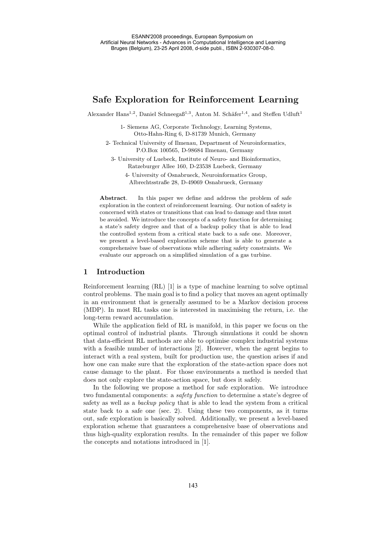# **Safe Exploration for Reinforcement Learning**

Alexander Hans<sup>1,2</sup>, Daniel Schneega $6^{1,3}$ , Anton M. Schäfer<sup>1,4</sup>, and Steffen Udluft<sup>1</sup>

1- Siemens AG, Corporate Technology, Learning Systems, Otto-Hahn-Ring 6, D-81739 Munich, Germany

2- Technical University of Ilmenau, Department of Neuroinformatics, P.O.Box 100565, D-98684 Ilmenau, Germany

3- University of Luebeck, Institute of Neuro- and Bioinformatics, Ratzeburger Allee 160, D-23538 Luebeck, Germany

4- University of Osnabrueck, Neuroinformatics Group, Albrechtsstraße 28, D-49069 Osnabrueck, Germany

**Abstract**. In this paper we define and address the problem of safe exploration in the context of reinforcement learning. Our notion of safety is concerned with states or transitions that can lead to damage and thus must be avoided. We introduce the concepts of a safety function for determining a state's safety degree and that of a backup policy that is able to lead the controlled system from a critical state back to a safe one. Moreover, we present a level-based exploration scheme that is able to generate a comprehensive base of observations while adhering safety constraints. We evaluate our approach on a simplified simulation of a gas turbine.

# **1 Introduction**

Reinforcement learning (RL) [1] is a type of machine learning to solve optimal control problems. The main goal is to find a policy that moves an agent optimally in an environment that is generally assumed to be a Markov decision process (MDP). In most RL tasks one is interested in maximising the return, i.e. the long-term reward accumulation.

While the application field of RL is manifold, in this paper we focus on the optimal control of industrial plants. Through simulations it could be shown that data-efficient RL methods are able to optimise complex industrial systems with a feasible number of interactions [2]. However, when the agent begins to interact with a real system, built for production use, the question arises if and how one can make sure that the exploration of the state-action space does not cause damage to the plant. For those environments a method is needed that does not only explore the state-action space, but does it safely.

In the following we propose a method for safe exploration. We introduce two fundamental components: a *safety function* to determine a state's degree of safety as well as a *backup policy* that is able to lead the system from a critical state back to a safe one (sec. 2). Using these two components, as it turns out, safe exploration is basically solved. Additionally, we present a level-based exploration scheme that guarantees a comprehensive base of observations and thus high-quality exploration results. In the remainder of this paper we follow the concepts and notations introduced in [1].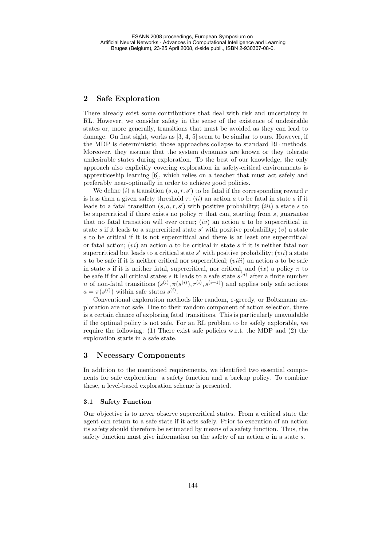# **2 Safe Exploration**

There already exist some contributions that deal with risk and uncertainty in RL. However, we consider safety in the sense of the existence of undesirable states or, more generally, transitions that must be avoided as they can lead to damage. On first sight, works as [3, 4, 5] seem to be similar to ours. However, if the MDP is deterministic, those approaches collapse to standard RL methods. Moreover, they assume that the system dynamics are known or they tolerate undesirable states during exploration. To the best of our knowledge, the only approach also explicitly covering exploration in safety-critical environments is apprenticeship learning [6], which relies on a teacher that must act safely and preferably near-optimally in order to achieve good policies.

We define (*i*) a transition  $(s, a, r, s')$  to be fatal if the corresponding reward r is less than a given safety threshold  $\tau$ ; (ii) an action a to be fatal in state s if it leads to a fatal transition  $(s, a, r, s')$  with positive probability;  $(iii)$  a state s to be supercritical if there exists no policy  $\pi$  that can, starting from s, guarantee that no fatal transition will ever occur;  $(iv)$  an action a to be supercritical in state s if it leads to a supercritical state s' with positive probability;  $(v)$  a state s to be critical if it is not supercritical and there is at least one supercritical or fatal action;  $(vi)$  an action a to be critical in state s if it is neither fatal nor supercritical but leads to a critical state  $s'$  with positive probability;  $(vii)$  a state s to be safe if it is neither critical nor supercritical;  $(viii)$  an action a to be safe in state s if it is neither fatal, supercritical, nor critical, and  $(ix)$  a policy  $\pi$  to be safe if for all critical states s it leads to a safe state  $s^{(n)}$  after a finite number n of non-fatal transitions  $(s^{(i)}, \pi(s^{(i)}), r^{(i)}, s^{(i+1)})$  and applies only safe actions  $a = \pi(s^{(i)})$  within safe states  $s^{(i)}$ .

Conventional exploration methods like random,  $\varepsilon$ -greedy, or Boltzmann exploration are not safe. Due to their random component of action selection, there is a certain chance of exploring fatal transitions. This is particularly unavoidable if the optimal policy is not safe. For an RL problem to be safely explorable, we require the following: (1) There exist safe policies w.r.t. the MDP and (2) the exploration starts in a safe state.

# **3 Necessary Components**

In addition to the mentioned requirements, we identified two essential components for safe exploration: a safety function and a backup policy. To combine these, a level-based exploration scheme is presented.

## **3.1 Safety Function**

Our objective is to never observe supercritical states. From a critical state the agent can return to a safe state if it acts safely. Prior to execution of an action its safety should therefore be estimated by means of a safety function. Thus, the safety function must give information on the safety of an action  $a$  in a state  $s$ .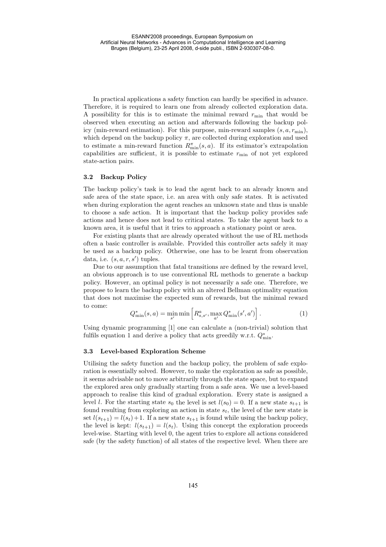In practical applications a safety function can hardly be specified in advance. Therefore, it is required to learn one from already collected exploration data. A possibility for this is to estimate the minimal reward  $r_{\min}$  that would be observed when executing an action and afterwards following the backup policy (min-reward estimation). For this purpose, min-reward samples  $(s, a, r_{\min})$ , which depend on the backup policy  $\pi$ , are collected during exploration and used to estimate a min-reward function  $R_{\min}^{\pi}(s, a)$ . If its estimator's extrapolation capabilities are sufficient, it is possible to estimate  $r_{\min}$  of not yet explored state-action pairs.

#### **3.2 Backup Policy**

The backup policy's task is to lead the agent back to an already known and safe area of the state space, i.e. an area with only safe states. It is activated when during exploration the agent reaches an unknown state and thus is unable to choose a safe action. It is important that the backup policy provides safe actions and hence does not lead to critical states. To take the agent back to a known area, it is useful that it tries to approach a stationary point or area.

For existing plants that are already operated without the use of RL methods often a basic controller is available. Provided this controller acts safely it may be used as a backup policy. Otherwise, one has to be learnt from observation data, i.e.  $(s, a, r, s')$  tuples.

Due to our assumption that fatal transitions are defined by the reward level, an obvious approach is to use conventional RL methods to generate a backup policy. However, an optimal policy is not necessarily a safe one. Therefore, we propose to learn the backup policy with an altered Bellman optimality equation that does not maximise the expected sum of rewards, but the minimal reward to come:

$$
Q_{\min}^*(s, a) = \min_{s'} \min \left[ R_{s, s'}^a, \max_{a'} Q_{\min}^*(s', a') \right]. \tag{1}
$$

Using dynamic programming [1] one can calculate a (non-trivial) solution that fulfils equation 1 and derive a policy that acts greedily w.r.t.  $Q_{\min}^*$ .

#### **3.3 Level-based Exploration Scheme**

Utilising the safety function and the backup policy, the problem of safe exploration is essentially solved. However, to make the exploration as safe as possible, it seems advisable not to move arbitrarily through the state space, but to expand the explored area only gradually starting from a safe area. We use a level-based approach to realise this kind of gradual exploration. Every state is assigned a level l. For the starting state  $s_0$  the level is set  $l(s_0) = 0$ . If a new state  $s_{t+1}$  is found resulting from exploring an action in state  $s_t$ , the level of the new state is set  $l(s_{t+1}) = l(s_t) + 1$ . If a new state  $s_{t+1}$  is found while using the backup policy, the level is kept:  $l(s_{t+1}) = l(s_t)$ . Using this concept the exploration proceeds level-wise. Starting with level 0, the agent tries to explore all actions considered safe (by the safety function) of all states of the respective level. When there are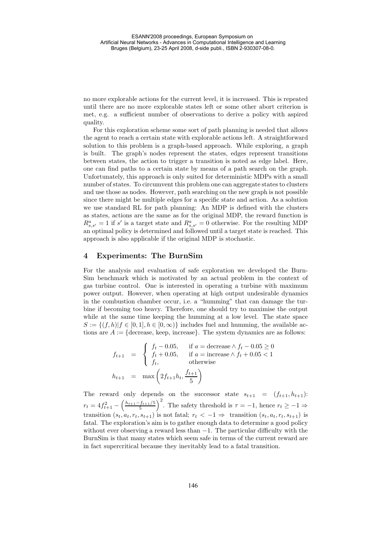no more explorable actions for the current level, it is increased. This is repeated until there are no more explorable states left or some other abort criterion is met, e.g. a sufficient number of observations to derive a policy with aspired quality.

For this exploration scheme some sort of path planning is needed that allows the agent to reach a certain state with explorable actions left. A straightforward solution to this problem is a graph-based approach. While exploring, a graph is built. The graph's nodes represent the states, edges represent transitions between states, the action to trigger a transition is noted as edge label. Here, one can find paths to a certain state by means of a path search on the graph. Unfortunately, this approach is only suited for deterministic MDPs with a small number of states. To circumvent this problem one can aggregate states to clusters and use those as nodes. However, path searching on the new graph is not possible since there might be multiple edges for a specific state and action. As a solution we use standard RL for path planning: An MDP is defined with the clusters as states, actions are the same as for the original MDP, the reward function is  $R_{s,s'}^a = 1$  if s' is a target state and  $R_{s,s'}^a = 0$  otherwise. For the resulting MDP an optimal policy is determined and followed until a target state is reached. This approach is also applicable if the original MDP is stochastic.

# **4 Experiments: The BurnSim**

For the analysis and evaluation of safe exploration we developed the Burn-Sim benchmark which is motivated by an actual problem in the context of gas turbine control. One is interested in operating a turbine with maximum power output. However, when operating at high output undesirable dynamics in the combustion chamber occur, i.e. a "humming" that can damage the turbine if becoming too heavy. Therefore, one should try to maximise the output while at the same time keeping the humming at a low level. The state space  $S := \{(f,h)| f \in [0,1], h \in [0,\infty)\}\$ includes fuel and humming, the available actions are  $A := \{ \text{decrease}, \text{keep}, \text{increase} \}.$  The system dynamics are as follows:

$$
f_{t+1} = \begin{cases} f_t - 0.05, & \text{if } a = \text{decrease} \land f_t - 0.05 \ge 0 \\ f_t + 0.05, & \text{if } a = \text{increase} \land f_t + 0.05 < 1 \\ f_t, & \text{otherwise} \end{cases}
$$
\n
$$
h_{t+1} = \max\left(2f_{t+1}h_t, \frac{f_{t+1}}{5}\right)
$$

The reward only depends on the successor state  $s_{t+1} = (f_{t+1}, h_{t+1})$ :  $r_t = 4f_{t+1}^2 - \left(\frac{h_{t+1}-f_{t+1}/5}{5}\right)^2$ . The safety threshold is  $\tau = -1$ , hence  $r_t \geq -1 \Rightarrow$ transition  $(s_t, a_t, r_t, s_{t+1})$  is not fatal;  $r_t < -1 \Rightarrow$  transition  $(s_t, a_t, r_t, s_{t+1})$  is fatal. The exploration's aim is to gather enough data to determine a good policy without ever observing a reward less than  $-1$ . The particular difficulty with the BurnSim is that many states which seem safe in terms of the current reward are in fact supercritical because they inevitably lead to a fatal transition.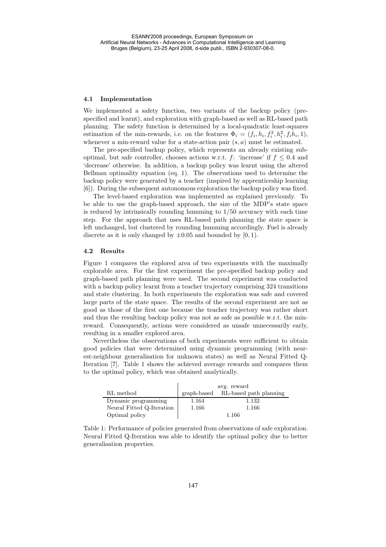#### **4.1 Implementation**

We implemented a safety function, two variants of the backup policy (prespecified and learnt), and exploration with graph-based as well as RL-based path planning. The safety function is determined by a local-quadratic least-squares estimation of the min-rewards, i.e. on the features  $\Phi_i = (f_i, h_i, f_i^2, h_i^2, f_i h_i, 1)$ , whenever a min-reward value for a state-action pair  $(s, a)$  must be estimated.

The pre-specified backup policy, which represents an already existing suboptimal, but safe controller, chooses actions w.r.t. f: 'increase' if  $f \leq 0.4$  and 'decrease' otherwise. In addition, a backup policy was learnt using the altered Bellman optimality equation (eq. 1). The observations used to determine the backup policy were generated by a teacher (inspired by apprenticeship learning [6]). During the subsequent autonomous exploration the backup policy was fixed.

The level-based exploration was implemented as explained previously. To be able to use the graph-based approach, the size of the MDP's state space is reduced by intrinsically rounding humming to 1/50 accuracy with each time step. For the approach that uses RL-based path planning the state space is left unchanged, but clustered by rounding humming accordingly. Fuel is already discrete as it is only changed by  $\pm 0.05$  and bounded by [0, 1).

#### **4.2 Results**

Figure 1 compares the explored area of two experiments with the maximally explorable area. For the first experiment the pre-specified backup policy and graph-based path planning were used. The second experiment was conducted with a backup policy learnt from a teacher trajectory comprising 324 transitions and state clustering. In both experiments the exploration was safe and covered large parts of the state space. The results of the second experiment are not as good as those of the first one because the teacher trajectory was rather short and thus the resulting backup policy was not as safe as possible w.r.t. the minreward. Consequently, actions were considered as unsafe unnecessarily early, resulting in a smaller explored area.

Nevertheless the observations of both experiments were sufficient to obtain good policies that were determined using dynamic programming (with nearest-neighbour generalisation for unknown states) as well as Neural Fitted Q-Iteration [7]. Table 1 shows the achieved average rewards and compares them to the optimal policy, which was obtained analytically.

|                           | avg. reward |                                    |
|---------------------------|-------------|------------------------------------|
| RL method                 |             | graph-based RL-based path planning |
| Dynamic programming       | 1.164       | 1.132                              |
| Neural Fitted Q-Iteration | 1.166       | 1.166                              |
| Optimal policy            |             | 1.166                              |

Table 1: Performance of policies generated from observations of safe exploration. Neural Fitted Q-Iteration was able to identify the optimal policy due to better generalisation properties.